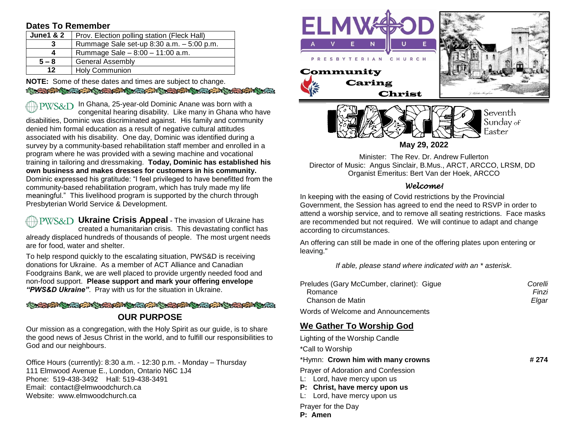### **Dates To Remember**

| <b>June1 &amp; 2</b> | Prov. Election polling station (Fleck Hall) |  |  |  |  |
|----------------------|---------------------------------------------|--|--|--|--|
| 3                    | Rummage Sale set-up 8:30 a.m. - 5:00 p.m.   |  |  |  |  |
| 4                    | Rummage Sale $-8:00 - 11:00$ a.m.           |  |  |  |  |
| $5 - 8$              | <b>General Assembly</b>                     |  |  |  |  |
| 12 <sub>2</sub>      | <b>Holy Communion</b>                       |  |  |  |  |

**NOTE:** Some of these dates and times are subject to change. **CONTRACTOR COMPANY AND CONTRACTOR OF CONTRACTOR** 

 $PWS\&D$  In Ghana, 25-year-old Dominic Anane was born with a congenital hearing disability. Like many in Ghana who have disabilities, Dominic was discriminated against. His family and community denied him formal education as a result of negative cultural attitudes associated with his disability. One day, Dominic was identified during a survey by a community-based rehabilitation staff member and enrolled in a program where he was provided with a sewing machine and vocational training in tailoring and dressmaking. **Today, Dominic has established his own business and makes dresses for customers in his community.** Dominic expressed his gratitude: "I feel privileged to have benefitted from the community-based rehabilitation program, which has truly made my life meaningful." This livelihood program is supported by the church through Presbyterian World Service & Development.

**PWS&D** Ukraine Crisis Appeal - The invasion of Ukraine has created a humanitarian crisis. This devastating conflict has already displaced hundreds of thousands of people. The most urgent needs are for food, water and shelter.

To help respond quickly to the escalating situation, PWS&D is receiving donations for Ukraine. As a member of ACT Alliance and Canadian Foodgrains Bank, we are well placed to provide urgently needed food and non-food support. **Please support and mark your offering envelope**  *"PWS&D Ukraine"*. Pray with us for the situation in Ukraine.

#### A REAL AND A REAL AND A REAL AND A REAL AND A REAL AND A REAL AND A REAL AND A REAL AND A REAL AND A REAL AND A

## **OUR PURPOSE**

Our mission as a congregation, with the Holy Spirit as our guide, is to share the good news of Jesus Christ in the world, and to fulfill our responsibilities to God and our neighbours.

Office Hours (currently): 8:30 a.m. - 12:30 p.m. - Monday – Thursday 111 Elmwood Avenue E., London, Ontario N6C 1J4 Phone: 519-438-3492 Hall: 519-438-3491 Email: contact@elmwoodchurch.ca Website: www.elmwoodchurch.ca



**May 29, 2022**

Minister: The Rev. Dr. Andrew Fullerton Director of Music: Angus Sinclair, B.Mus., ARCT, ARCCO, LRSM, DD Organist Emeritus: Bert Van der Hoek, ARCCO

### *Welcome!*

In keeping with the easing of Covid restrictions by the Provincial Government, the Session has agreed to end the need to RSVP in order to attend a worship service, and to remove all seating restrictions. Face masks are recommended but not required. We will continue to adapt and change according to circumstances.

An offering can still be made in one of the offering plates upon entering or leaving."

*If able, please stand where indicated with an \* asterisk.*

| Preludes (Gary McCumber, clarinet): Gigue | Corelli |
|-------------------------------------------|---------|
| Romance                                   | Finzi   |
| Chanson de Matin                          | Elaar   |

Words of Welcome and Announcements

# **We Gather To Worship God**

| Lighting of the Worship Candle                                                                                                    |       |
|-----------------------------------------------------------------------------------------------------------------------------------|-------|
| *Call to Worship                                                                                                                  |       |
| *Hymn: Crown him with many crowns                                                                                                 | # 274 |
| Prayer of Adoration and Confession<br>L: Lord, have mercy upon us<br>P: Christ, have mercy upon us<br>L: Lord, have mercy upon us |       |
| Prayer for the Day<br>P: Amen                                                                                                     |       |